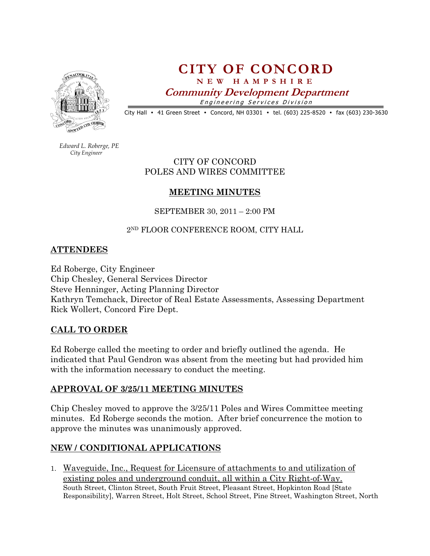

# CITY OF CONCORD N E W H A M P S H I R E Community Development Department

Engineering Services Division

City Hall • 41 Green Street • Concord, NH 03301 • tel. (603) 225-8520 • fax (603) 230-3630

 Edward L. Roberge, PE City Engineer

#### CITY OF CONCORD POLES AND WIRES COMMITTEE

## MEETING MINUTES

SEPTEMBER 30, 2011 – 2:00 PM

## 2<sup>ND</sup> FLOOR CONFERENCE ROOM, CITY HALL

#### ATTENDEES

Ed Roberge, City Engineer Chip Chesley, General Services Director Steve Henninger, Acting Planning Director Kathryn Temchack, Director of Real Estate Assessments, Assessing Department Rick Wollert, Concord Fire Dept.

## CALL TO ORDER

Ed Roberge called the meeting to order and briefly outlined the agenda. He indicated that Paul Gendron was absent from the meeting but had provided him with the information necessary to conduct the meeting.

## APPROVAL OF 3/25/11 MEETING MINUTES

Chip Chesley moved to approve the 3/25/11 Poles and Wires Committee meeting minutes. Ed Roberge seconds the motion. After brief concurrence the motion to approve the minutes was unanimously approved.

# NEW / CONDITIONAL APPLICATIONS

1. Waveguide, Inc., Request for Licensure of attachments to and utilization of existing poles and underground conduit, all within a City Right-of-Way. South Street, Clinton Street, South Fruit Street, Pleasant Street, Hopkinton Road [State Responsibility], Warren Street, Holt Street, School Street, Pine Street, Washington Street, North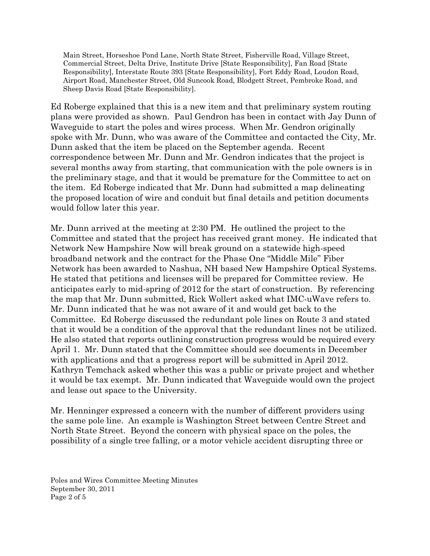Main Street, Horseshoe Pond Lane, North State Street, Fisherville Road, Village Street, Commercial Street, Delta Drive, Institute Drive [State Responsibility], Fan Road [State Responsibility], Interstate Route 393 [State Responsibility], Fort Eddy Road, Loudon Road, Airport Road, Manchester Street, Old Suncook Road, Blodgett Street, Pembroke Road, and Sheep Davis Road [State Responsibility].

Ed Roberge explained that this is a new item and that preliminary system routing plans were provided as shown. Paul Gendron has been in contact with Jay Dunn of Waveguide to start the poles and wires process. When Mr. Gendron originally spoke with Mr. Dunn, who was aware of the Committee and contacted the City, Mr. Dunn asked that the item be placed on the September agenda. Recent correspondence between Mr. Dunn and Mr. Gendron indicates that the project is several months away from starting, that communication with the pole owners is in the preliminary stage, and that it would be premature for the Committee to act on the item. Ed Roberge indicated that Mr. Dunn had submitted a map delineating the proposed location of wire and conduit but final details and petition documents would follow later this year.

Mr. Dunn arrived at the meeting at 2:30 PM. He outlined the project to the Committee and stated that the project has received grant money. He indicated that Network New Hampshire Now will break ground on a statewide high-speed broadband network and the contract for the Phase One "Middle Mile" Fiber Network has been awarded to Nashua, NH based New Hampshire Optical Systems. He stated that petitions and licenses will be prepared for Committee review. He anticipates early to mid-spring of 2012 for the start of construction. By referencing the map that Mr. Dunn submitted, Rick Wollert asked what IMC-uWave refers to. Mr. Dunn indicated that he was not aware of it and would get back to the Committee. Ed Roberge discussed the redundant pole lines on Route 3 and stated that it would be a condition of the approval that the redundant lines not be utilized. He also stated that reports outlining construction progress would be required every April 1. Mr. Dunn stated that the Committee should see documents in December with applications and that a progress report will be submitted in April 2012. Kathryn Temchack asked whether this was a public or private project and whether it would be tax exempt. Mr. Dunn indicated that Waveguide would own the project and lease out space to the University.

Mr. Henninger expressed a concern with the number of different providers using the same pole line. An example is Washington Street between Centre Street and North State Street. Beyond the concern with physical space on the poles, the possibility of a single tree falling, or a motor vehicle accident disrupting three or

Poles and Wires Committee Meeting Minutes September 30, 2011 Page 2 of 5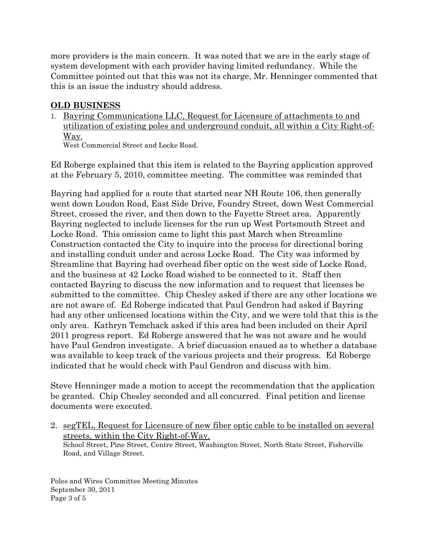more providers is the main concern. It was noted that we are in the early stage of system development with each provider having limited redundancy. While the Committee pointed out that this was not its charge, Mr. Henninger commented that this is an issue the industry should address.

#### OLD BUSINESS

1. Bayring Communications LLC, Request for Licensure of attachments to and utilization of existing poles and underground conduit, all within a City Right-of-Way.

West Commercial Street and Locke Road.

Ed Roberge explained that this item is related to the Bayring application approved at the February 5, 2010, committee meeting. The committee was reminded that

Bayring had applied for a route that started near NH Route 106, then generally went down Loudon Road, East Side Drive, Foundry Street, down West Commercial Street, crossed the river, and then down to the Fayette Street area. Apparently Bayring neglected to include licenses for the run up West Portsmouth Street and Locke Road. This omission came to light this past March when Streamline Construction contacted the City to inquire into the process for directional boring and installing conduit under and across Locke Road. The City was informed by Streamline that Bayring had overhead fiber optic on the west side of Locke Road, and the business at 42 Locke Road wished to be connected to it. Staff then contacted Bayring to discuss the new information and to request that licenses be submitted to the committee. Chip Chesley asked if there are any other locations we are not aware of. Ed Roberge indicated that Paul Gendron had asked if Bayring had any other unlicensed locations within the City, and we were told that this is the only area. Kathryn Temchack asked if this area had been included on their April 2011 progress report. Ed Roberge answered that he was not aware and he would have Paul Gendron investigate. A brief discussion ensued as to whether a database was available to keep track of the various projects and their progress. Ed Roberge indicated that he would check with Paul Gendron and discuss with him.

Steve Henninger made a motion to accept the recommendation that the application be granted. Chip Chesley seconded and all concurred. Final petition and license documents were executed.

2. segTEL, Request for Licensure of new fiber optic cable to be installed on several streets, within the City Right-of-Way. School Street, Pine Street, Centre Street, Washington Street, North State Street, Fisherville Road, and Village Street.

Poles and Wires Committee Meeting Minutes September 30, 2011 Page 3 of 5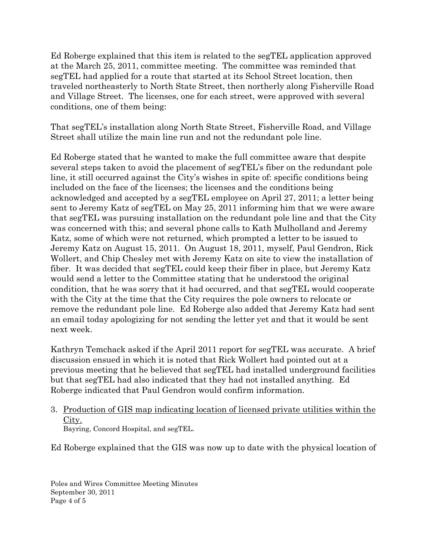Ed Roberge explained that this item is related to the segTEL application approved at the March 25, 2011, committee meeting. The committee was reminded that segTEL had applied for a route that started at its School Street location, then traveled northeasterly to North State Street, then northerly along Fisherville Road and Village Street. The licenses, one for each street, were approved with several conditions, one of them being:

That segTEL's installation along North State Street, Fisherville Road, and Village Street shall utilize the main line run and not the redundant pole line.

Ed Roberge stated that he wanted to make the full committee aware that despite several steps taken to avoid the placement of segTEL's fiber on the redundant pole line, it still occurred against the City's wishes in spite of: specific conditions being included on the face of the licenses; the licenses and the conditions being acknowledged and accepted by a segTEL employee on April 27, 2011; a letter being sent to Jeremy Katz of segTEL on May 25, 2011 informing him that we were aware that segTEL was pursuing installation on the redundant pole line and that the City was concerned with this; and several phone calls to Kath Mulholland and Jeremy Katz, some of which were not returned, which prompted a letter to be issued to Jeremy Katz on August 15, 2011. On August 18, 2011, myself, Paul Gendron, Rick Wollert, and Chip Chesley met with Jeremy Katz on site to view the installation of fiber. It was decided that segTEL could keep their fiber in place, but Jeremy Katz would send a letter to the Committee stating that he understood the original condition, that he was sorry that it had occurred, and that segTEL would cooperate with the City at the time that the City requires the pole owners to relocate or remove the redundant pole line. Ed Roberge also added that Jeremy Katz had sent an email today apologizing for not sending the letter yet and that it would be sent next week.

Kathryn Temchack asked if the April 2011 report for segTEL was accurate. A brief discussion ensued in which it is noted that Rick Wollert had pointed out at a previous meeting that he believed that segTEL had installed underground facilities but that segTEL had also indicated that they had not installed anything. Ed Roberge indicated that Paul Gendron would confirm information.

3. Production of GIS map indicating location of licensed private utilities within the City.

Bayring, Concord Hospital, and segTEL.

Ed Roberge explained that the GIS was now up to date with the physical location of

Poles and Wires Committee Meeting Minutes September 30, 2011 Page 4 of 5